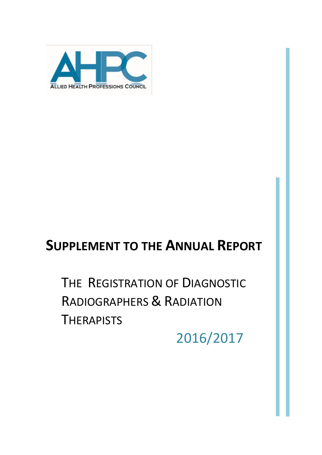

# **SUPPLEMENT TO THE ANNUAL REPORT**

THE REGISTRATION OF DIAGNOSTIC RADIOGRAPHERS & RADIATION **THERAPISTS** 

2016/2017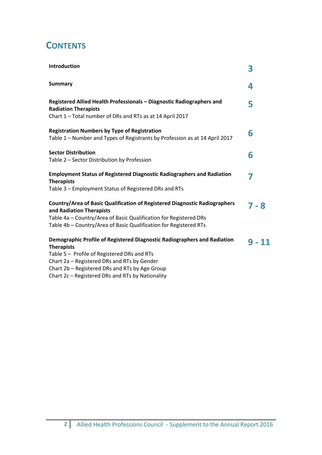## **CONTENTS**

| Introduction                                                                                                                                                                                                                                     | 3        |
|--------------------------------------------------------------------------------------------------------------------------------------------------------------------------------------------------------------------------------------------------|----------|
| <b>Summary</b>                                                                                                                                                                                                                                   | 4        |
| Registered Allied Health Professionals - Diagnostic Radiographers and<br><b>Radiation Therapists</b><br>Chart 1 - Total number of DRs and RTs as at 14 April 2017                                                                                | 5        |
| <b>Registration Numbers by Type of Registration</b><br>Table 1 - Number and Types of Registrants by Profession as at 14 April 2017                                                                                                               | 6        |
| <b>Sector Distribution</b><br>Table 2 - Sector Distribution by Profession                                                                                                                                                                        | 6        |
| <b>Employment Status of Registered Diagnostic Radiographers and Radiation</b><br><b>Therapists</b><br>Table 3 - Employment Status of Registered DRs and RTs                                                                                      | 7        |
| Country/Area of Basic Qualification of Registered Diagnostic Radiographers<br>and Radiation Therapists<br>Table 4a - Country/Area of Basic Qualification for Registered DRs<br>Table 4b - Country/Area of Basic Qualification for Registered RTs | $7 - 8$  |
| Demographic Profile of Registered Diagnostic Radiographers and Radiation<br><b>Therapists</b><br>Table 5 - Profile of Registered DRs and RTs<br>Chart 2a - Registered DRs and RTs by Gender<br>Chart 2b – Registered DRs and RTs by Age Group    | $9 - 11$ |

Chart 2c – Registered DRs and RTs by Nationality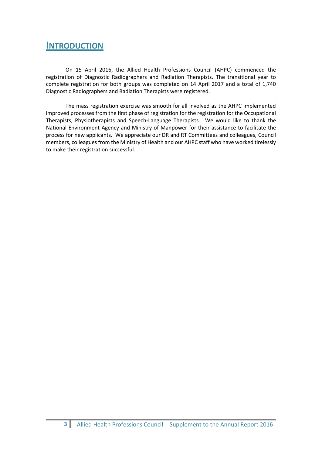## **INTRODUCTION**

On 15 April 2016, the Allied Health Professions Council (AHPC) commenced the registration of Diagnostic Radiographers and Radiation Therapists. The transitional year to complete registration for both groups was completed on 14 April 2017 and a total of 1,740 Diagnostic Radiographers and Radiation Therapists were registered.

The mass registration exercise was smooth for all involved as the AHPC implemented improved processes from the first phase of registration for the registration for the Occupational Therapists, Physiotherapists and Speech-Language Therapists. We would like to thank the National Environment Agency and Ministry of Manpower for their assistance to facilitate the process for new applicants. We appreciate our DR and RT Committees and colleagues, Council members, colleagues from the Ministry of Health and our AHPC staff who have worked tirelessly to make their registration successful.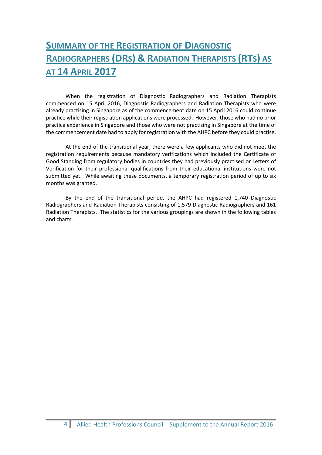## **SUMMARY OF THE REGISTRATION OF DIAGNOSTIC RADIOGRAPHERS (DRS) & RADIATION THERAPISTS (RTS) AS AT 14 APRIL 2017**

When the registration of Diagnostic Radiographers and Radiation Therapists commenced on 15 April 2016, Diagnostic Radiographers and Radiation Therapists who were already practising in Singapore as of the commencement date on 15 April 2016 could continue practice while their registration applications were processed. However, those who had no prior practice experience in Singapore and those who were not practising in Singapore at the time of the commencement date had to apply for registration with the AHPC before they could practise.

At the end of the transitional year, there were a few applicants who did not meet the registration requirements because mandatory verifications which included the Certificate of Good Standing from regulatory bodies in countries they had previously practised or Letters of Verification for their professional qualifications from their educational institutions were not submitted yet. While awaiting these documents, a temporary registration period of up to six months was granted.

By the end of the transitional period, the AHPC had registered 1,740 Diagnostic Radiographers and Radiation Therapists consisting of 1,579 Diagnostic Radiographers and 161 Radiation Therapists. The statistics for the various groupings are shown in the following tables and charts.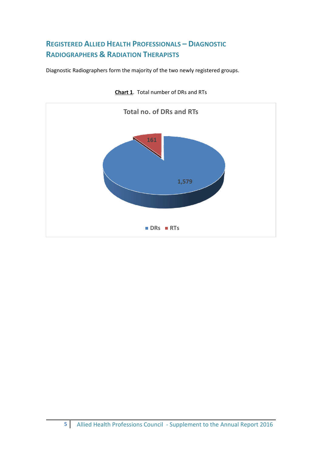## **REGISTERED ALLIED HEALTH PROFESSIONALS – DIAGNOSTIC RADIOGRAPHERS & RADIATION THERAPISTS**

Diagnostic Radiographers form the majority of the two newly registered groups.



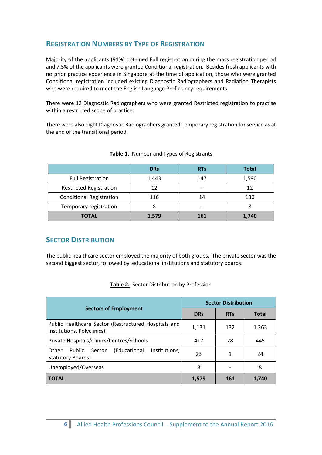### **REGISTRATION NUMBERS BY TYPE OF REGISTRATION**

Majority of the applicants (91%) obtained Full registration during the mass registration period and 7.5% of the applicants were granted Conditional registration. Besides fresh applicants with no prior practice experience in Singapore at the time of application, those who were granted Conditional registration included existing Diagnostic Radiographers and Radiation Therapists who were required to meet the English Language Proficiency requirements.

There were 12 Diagnostic Radiographers who were granted Restricted registration to practise within a restricted scope of practice.

There were also eight Diagnostic Radiographers granted Temporary registration for service as at the end of the transitional period.

|                                 | <b>DRs</b> | <b>RTs</b> | <b>Total</b> |
|---------------------------------|------------|------------|--------------|
| <b>Full Registration</b>        | 1,443      | 147        | 1,590        |
| <b>Restricted Registration</b>  |            |            | 12           |
| <b>Conditional Registration</b> | 116        | 14         | 130          |
| Temporary registration          |            | -          |              |
| <b>TOTAL</b>                    | 1,579      | 161        | 1,740        |

#### **Table 1.** Number and Types of Registrants

#### **SECTOR DISTRIBUTION**

The public healthcare sector employed the majority of both groups. The private sector was the second biggest sector, followed by educational institutions and statutory boards.

|                                                                                        | <b>Sector Distribution</b> |            |              |
|----------------------------------------------------------------------------------------|----------------------------|------------|--------------|
| <b>Sectors of Employment</b>                                                           | <b>DRs</b>                 | <b>RTs</b> | <b>Total</b> |
| Public Healthcare Sector (Restructured Hospitals and<br>Institutions, Polyclinics)     | 1,131                      | 132        | 1,263        |
| Private Hospitals/Clinics/Centres/Schools                                              | 417                        | 28         | 445          |
| Public<br>Other<br>(Educational<br>Institutions.<br>Sector<br><b>Statutory Boards)</b> | 23                         | 1          | 24           |
| Unemployed/Overseas                                                                    | 8                          |            | 8            |
| <b>TOTAL</b>                                                                           | 1,579                      | 161        | 1,740        |

#### **Table 2.** Sector Distribution by Profession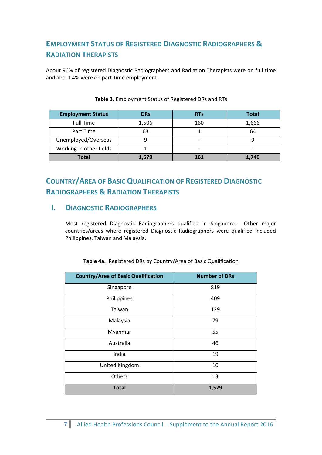## **EMPLOYMENT STATUS OF REGISTERED DIAGNOSTIC RADIOGRAPHERS & RADIATION THERAPISTS**

About 96% of registered Diagnostic Radiographers and Radiation Therapists were on full time and about 4% were on part-time employment.

| <b>Employment Status</b> | <b>DRs</b> | <b>RTs</b> | <b>Total</b> |
|--------------------------|------------|------------|--------------|
| <b>Full Time</b>         | 1,506      | 160        | 1,666        |
| Part Time                | 63         |            | 64           |
| Unemployed/Overseas      |            |            |              |
| Working in other fields  |            |            |              |
| <b>Total</b>             | 1,579      | 161        | 1.740        |

#### **Table 3.** Employment Status of Registered DRs and RTs

## **COUNTRY/AREA OF BASIC QUALIFICATION OF REGISTERED DIAGNOSTIC RADIOGRAPHERS & RADIATION THERAPISTS**

#### **I. DIAGNOSTIC RADIOGRAPHERS**

Most registered Diagnostic Radiographers qualified in Singapore. Other major countries/areas where registered Diagnostic Radiographers were qualified included Philippines, Taiwan and Malaysia.

| <b>Country/Area of Basic Qualification</b> | <b>Number of DRs</b> |
|--------------------------------------------|----------------------|
| Singapore                                  | 819                  |
| Philippines                                | 409                  |
| Taiwan                                     | 129                  |
| Malaysia                                   | 79                   |
| Myanmar                                    | 55                   |
| Australia                                  | 46                   |
| India                                      | 19                   |
| United Kingdom                             | 10                   |
| Others                                     | 13                   |
| <b>Total</b>                               | 1,579                |

#### **Table 4a.** Registered DRs by Country/Area of Basic Qualification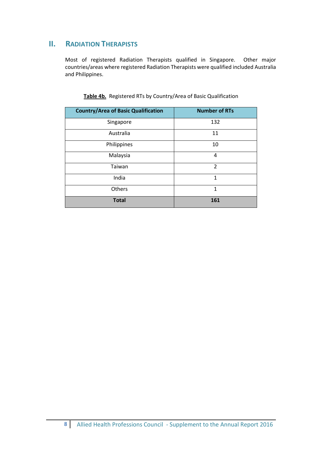## **II.** RADIATION THERAPISTS

Most of registered Radiation Therapists qualified in Singapore. Other major countries/areas where registered Radiation Therapists were qualified included Australia and Philippines.

| <b>Country/Area of Basic Qualification</b> | <b>Number of RTs</b> |
|--------------------------------------------|----------------------|
| Singapore                                  | 132                  |
| Australia                                  | 11                   |
| Philippines                                | 10                   |
| Malaysia                                   | 4                    |
| Taiwan                                     | $\overline{2}$       |
| India                                      | 1                    |
| Others                                     | 1                    |
| <b>Total</b>                               | 161                  |

**Table 4b.** Registered RTs by Country/Area of Basic Qualification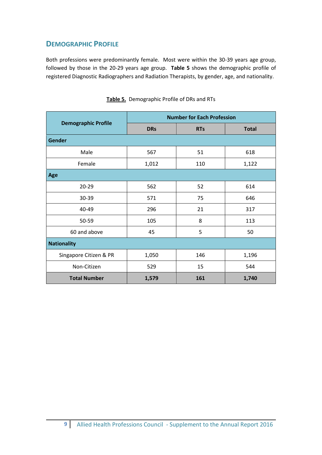### **DEMOGRAPHIC PROFILE**

Both professions were predominantly female. Most were within the 30-39 years age group, followed by those in the 20-29 years age group. **Table 5** shows the demographic profile of registered Diagnostic Radiographers and Radiation Therapists, by gender, age, and nationality.

|                            | <b>Number for Each Profession</b> |            |              |  |
|----------------------------|-----------------------------------|------------|--------------|--|
| <b>Demographic Profile</b> | <b>DRs</b>                        | <b>RTs</b> | <b>Total</b> |  |
| <b>Gender</b>              |                                   |            |              |  |
| Male                       | 567                               | 51         | 618          |  |
| Female                     | 1,012                             | 110        | 1,122        |  |
| Age                        |                                   |            |              |  |
| $20 - 29$                  | 562                               | 52         | 614          |  |
| 30-39                      | 571                               | 75         | 646          |  |
| 40-49                      | 296                               | 21         | 317          |  |
| 50-59                      | 105                               | 8          | 113          |  |
| 60 and above               | 45                                | 5          | 50           |  |
| <b>Nationality</b>         |                                   |            |              |  |
| Singapore Citizen & PR     | 1,050                             | 146        | 1,196        |  |
| Non-Citizen                | 529                               | 15         | 544          |  |
| <b>Total Number</b>        | 1,579                             | 161        | 1,740        |  |

| Table 5. Demographic Profile of DRs and RTs |  |  |
|---------------------------------------------|--|--|
|                                             |  |  |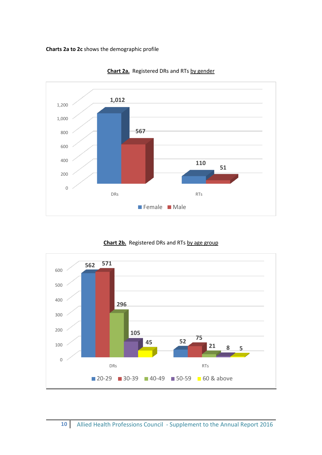**Charts 2a to 2c** shows the demographic profile



**Chart 2a.** Registered DRs and RTs by gender



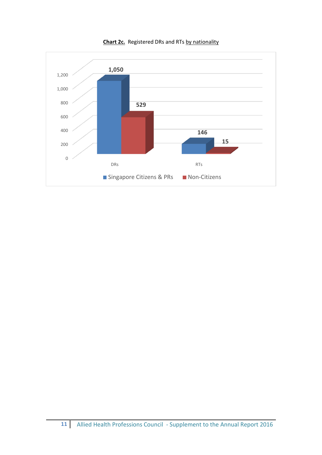

**Chart 2c.** Registered DRs and RTs by nationality